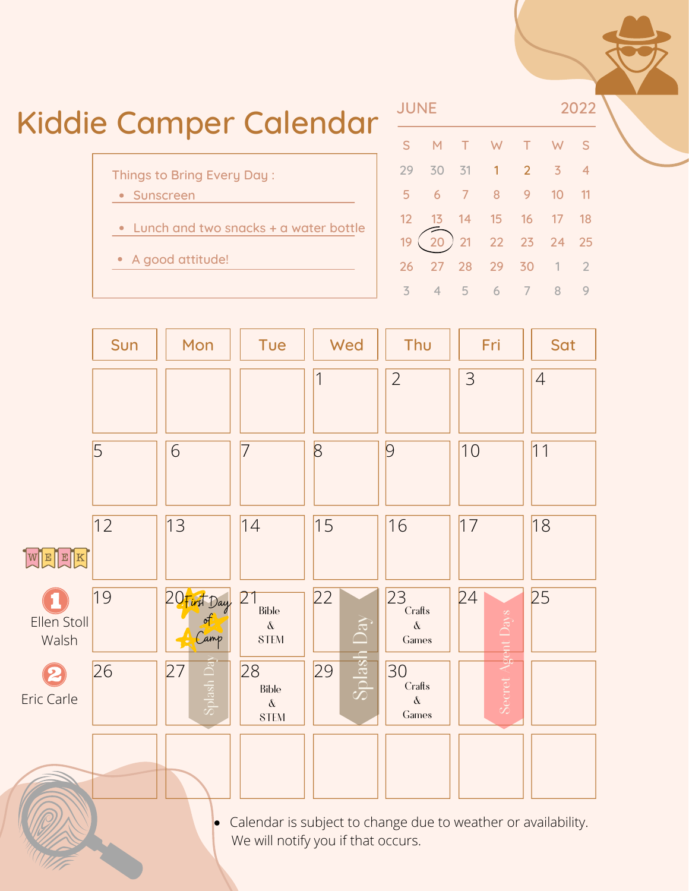



Calendar is subject to change due to weather or availability. We will notify you if that occurs.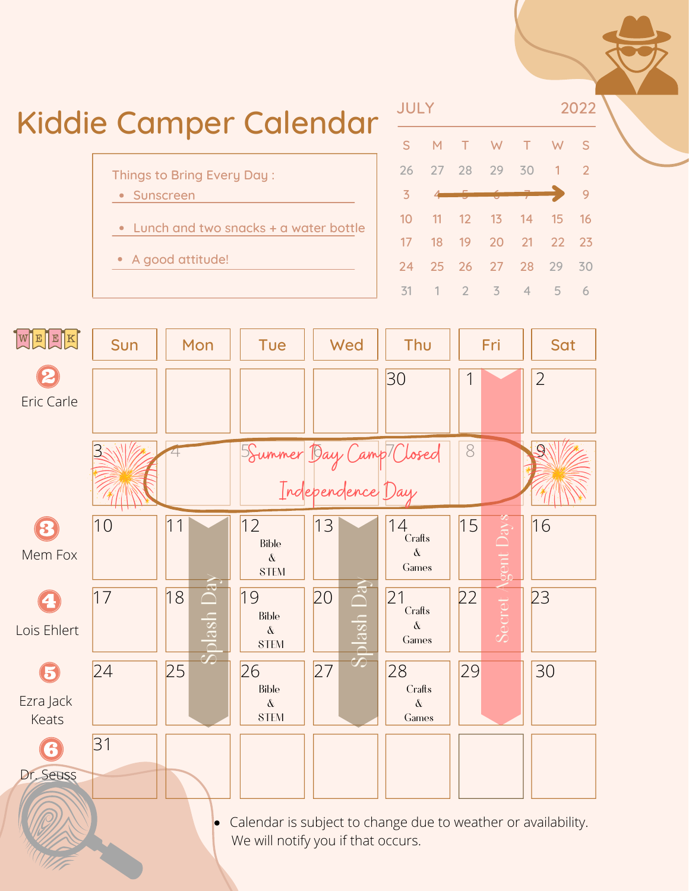

Calendar is subject to change due to weather or availability.  $\bullet$ We will notify you if that occurs.

Dr. Seuss